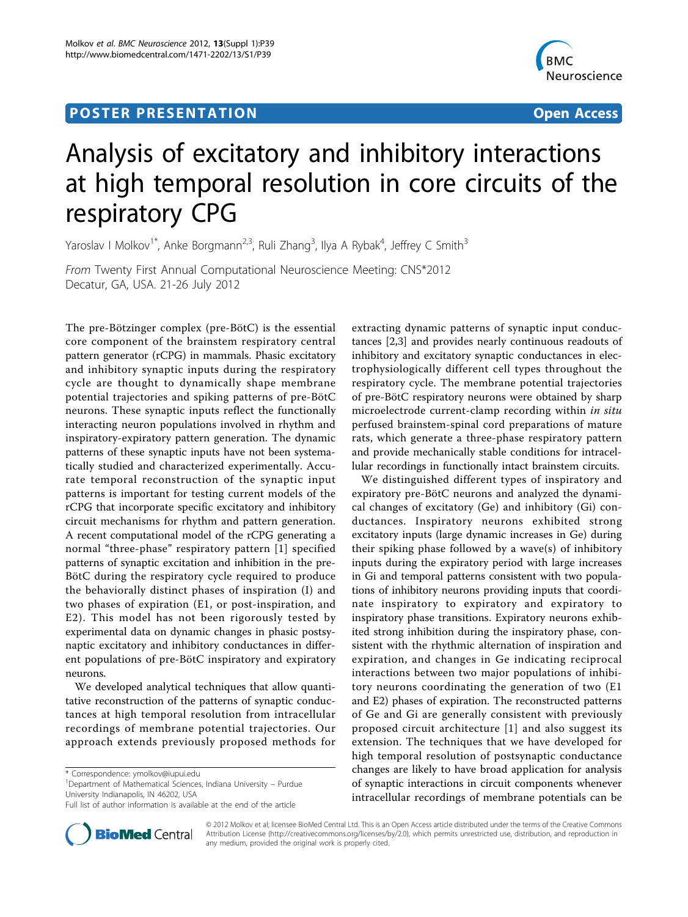## **POSTER PRESENTATION CONSUMING ACCESS**



# Analysis of excitatory and inhibitory interactions at high temporal resolution in core circuits of the respiratory CPG

Yaroslav I Molkov<sup>1\*</sup>, Anke Borgmann<sup>2,3</sup>, Ruli Zhang<sup>3</sup>, Ilya A Rybak<sup>4</sup>, Jeffrey C Smith<sup>3</sup>

From Twenty First Annual Computational Neuroscience Meeting: CNS\*2012 Decatur, GA, USA. 21-26 July 2012

The pre-Bötzinger complex (pre-BötC) is the essential core component of the brainstem respiratory central pattern generator (rCPG) in mammals. Phasic excitatory and inhibitory synaptic inputs during the respiratory cycle are thought to dynamically shape membrane potential trajectories and spiking patterns of pre-BötC neurons. These synaptic inputs reflect the functionally interacting neuron populations involved in rhythm and inspiratory-expiratory pattern generation. The dynamic patterns of these synaptic inputs have not been systematically studied and characterized experimentally. Accurate temporal reconstruction of the synaptic input patterns is important for testing current models of the rCPG that incorporate specific excitatory and inhibitory circuit mechanisms for rhythm and pattern generation. A recent computational model of the rCPG generating a normal "three-phase" respiratory pattern [[1](#page-1-0)] specified patterns of synaptic excitation and inhibition in the pre-BötC during the respiratory cycle required to produce the behaviorally distinct phases of inspiration (I) and two phases of expiration (E1, or post-inspiration, and E2). This model has not been rigorously tested by experimental data on dynamic changes in phasic postsynaptic excitatory and inhibitory conductances in different populations of pre-BötC inspiratory and expiratory neurons.

We developed analytical techniques that allow quantitative reconstruction of the patterns of synaptic conductances at high temporal resolution from intracellular recordings of membrane potential trajectories. Our approach extends previously proposed methods for

<sup>1</sup>Department of Mathematical Sciences, Indiana University - Purdue University Indianapolis, IN 46202, USA



We distinguished different types of inspiratory and expiratory pre-BötC neurons and analyzed the dynamical changes of excitatory (Ge) and inhibitory (Gi) conductances. Inspiratory neurons exhibited strong excitatory inputs (large dynamic increases in Ge) during their spiking phase followed by a wave(s) of inhibitory inputs during the expiratory period with large increases in Gi and temporal patterns consistent with two populations of inhibitory neurons providing inputs that coordinate inspiratory to expiratory and expiratory to inspiratory phase transitions. Expiratory neurons exhibited strong inhibition during the inspiratory phase, consistent with the rhythmic alternation of inspiration and expiration, and changes in Ge indicating reciprocal interactions between two major populations of inhibitory neurons coordinating the generation of two (E1 and E2) phases of expiration. The reconstructed patterns of Ge and Gi are generally consistent with previously proposed circuit architecture [[1](#page-1-0)] and also suggest its extension. The techniques that we have developed for high temporal resolution of postsynaptic conductance changes are likely to have broad application for analysis of synaptic interactions in circuit components whenever intracellular recordings of membrane potentials can be



© 2012 Molkov et al; licensee BioMed Central Ltd. This is an Open Access article distributed under the terms of the Creative Commons Attribution License [\(http://creativecommons.org/licenses/by/2.0](http://creativecommons.org/licenses/by/2.0)), which permits unrestricted use, distribution, and reproduction in any medium, provided the original work is properly cited.

<sup>\*</sup> Correspondence: [ymolkov@iupui.edu](mailto:ymolkov@iupui.edu)

Full list of author information is available at the end of the article